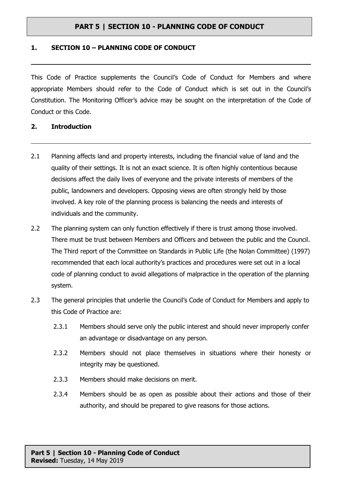#### **1. SECTION 10 – PLANNING CODE OF CONDUCT**

This Code of Practice supplements the Council's Code of Conduct for Members and where appropriate Members should refer to the Code of Conduct which is set out in the Council's Constitution. The Monitoring Officer's advice may be sought on the interpretation of the Code of Conduct or this Code.

#### **2. Introduction**

- 2.1 Planning affects land and property interests, including the financial value of land and the quality of their settings. It is not an exact science. It is often highly contentious because decisions affect the daily lives of everyone and the private interests of members of the public, landowners and developers. Opposing views are often strongly held by those involved. A key role of the planning process is balancing the needs and interests of individuals and the community.
- 2.2 The planning system can only function effectively if there is trust among those involved. There must be trust between Members and Officers and between the public and the Council. The Third report of the Committee on Standards in Public Life (the Nolan Committee) (1997) recommended that each local authority's practices and procedures were set out in a local code of planning conduct to avoid allegations of malpractice in the operation of the planning system.
- 2.3 The general principles that underlie the Council's Code of Conduct for Members and apply to this Code of Practice are:
	- 2.3.1 Members should serve only the public interest and should never improperly confer an advantage or disadvantage on any person.
	- 2.3.2 Members should not place themselves in situations where their honesty or integrity may be questioned.
	- 2.3.3 Members should make decisions on merit.
	- 2.3.4 Members should be as open as possible about their actions and those of their authority, and should be prepared to give reasons for those actions.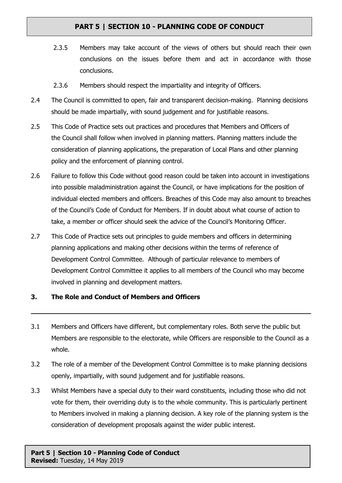- 2.3.5 Members may take account of the views of others but should reach their own conclusions on the issues before them and act in accordance with those conclusions.
- 2.3.6 Members should respect the impartiality and integrity of Officers.
- 2.4 The Council is committed to open, fair and transparent decision-making. Planning decisions should be made impartially, with sound judgement and for justifiable reasons.
- 2.5 This Code of Practice sets out practices and procedures that Members and Officers of the Council shall follow when involved in planning matters. Planning matters include the consideration of planning applications, the preparation of Local Plans and other planning policy and the enforcement of planning control.
- 2.6 Failure to follow this Code without good reason could be taken into account in investigations into possible maladministration against the Council, or have implications for the position of individual elected members and officers. Breaches of this Code may also amount to breaches of the Council's Code of Conduct for Members. If in doubt about what course of action to take, a member or officer should seek the advice of the Council's Monitoring Officer.
- 2.7 This Code of Practice sets out principles to guide members and officers in determining planning applications and making other decisions within the terms of reference of Development Control Committee. Although of particular relevance to members of Development Control Committee it applies to all members of the Council who may become involved in planning and development matters.

### **3. The Role and Conduct of Members and Officers**

- 3.1 Members and Officers have different, but complementary roles. Both serve the public but Members are responsible to the electorate, while Officers are responsible to the Council as a whole.
- 3.2 The role of a member of the Development Control Committee is to make planning decisions openly, impartially, with sound judgement and for justifiable reasons.
- 3.3 Whilst Members have a special duty to their ward constituents, including those who did not vote for them, their overriding duty is to the whole community. This is particularly pertinent to Members involved in making a planning decision. A key role of the planning system is the consideration of development proposals against the wider public interest.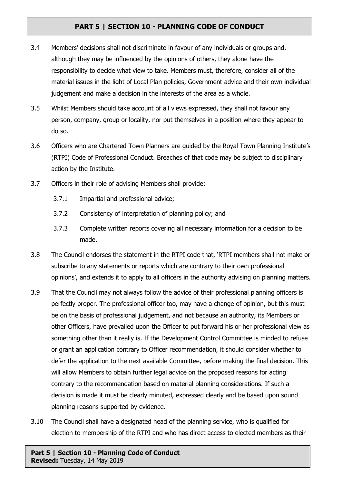- 3.4 Members' decisions shall not discriminate in favour of any individuals or groups and, although they may be influenced by the opinions of others, they alone have the responsibility to decide what view to take. Members must, therefore, consider all of the material issues in the light of Local Plan policies, Government advice and their own individual judgement and make a decision in the interests of the area as a whole.
- 3.5 Whilst Members should take account of all views expressed, they shall not favour any person, company, group or locality, nor put themselves in a position where they appear to do so.
- 3.6 Officers who are Chartered Town Planners are guided by the Royal Town Planning Institute's (RTPI) Code of Professional Conduct. Breaches of that code may be subject to disciplinary action by the Institute.
- 3.7 Officers in their role of advising Members shall provide:
	- 3.7.1 Impartial and professional advice;
	- 3.7.2 Consistency of interpretation of planning policy; and
	- 3.7.3 Complete written reports covering all necessary information for a decision to be made.
- 3.8 The Council endorses the statement in the RTPI code that, 'RTPI members shall not make or subscribe to any statements or reports which are contrary to their own professional opinions', and extends it to apply to all officers in the authority advising on planning matters.
- 3.9 That the Council may not always follow the advice of their professional planning officers is perfectly proper. The professional officer too, may have a change of opinion, but this must be on the basis of professional judgement, and not because an authority, its Members or other Officers, have prevailed upon the Officer to put forward his or her professional view as something other than it really is. If the Development Control Committee is minded to refuse or grant an application contrary to Officer recommendation, it should consider whether to defer the application to the next available Committee, before making the final decision. This will allow Members to obtain further legal advice on the proposed reasons for acting contrary to the recommendation based on material planning considerations. If such a decision is made it must be clearly minuted, expressed clearly and be based upon sound planning reasons supported by evidence.
- 3.10 The Council shall have a designated head of the planning service, who is qualified for election to membership of the RTPI and who has direct access to elected members as their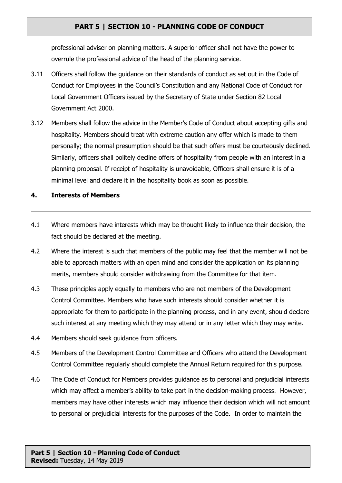professional adviser on planning matters. A superior officer shall not have the power to overrule the professional advice of the head of the planning service.

- 3.11 Officers shall follow the guidance on their standards of conduct as set out in the Code of Conduct for Employees in the Council's Constitution and any National Code of Conduct for Local Government Officers issued by the Secretary of State under Section 82 Local Government Act 2000.
- 3.12 Members shall follow the advice in the Member's Code of Conduct about accepting gifts and hospitality. Members should treat with extreme caution any offer which is made to them personally; the normal presumption should be that such offers must be courteously declined. Similarly, officers shall politely decline offers of hospitality from people with an interest in a planning proposal. If receipt of hospitality is unavoidable, Officers shall ensure it is of a minimal level and declare it in the hospitality book as soon as possible.

#### **4. Interests of Members**

- 4.1 Where members have interests which may be thought likely to influence their decision, the fact should be declared at the meeting.
- 4.2 Where the interest is such that members of the public may feel that the member will not be able to approach matters with an open mind and consider the application on its planning merits, members should consider withdrawing from the Committee for that item.
- 4.3 These principles apply equally to members who are not members of the Development Control Committee. Members who have such interests should consider whether it is appropriate for them to participate in the planning process, and in any event, should declare such interest at any meeting which they may attend or in any letter which they may write.
- 4.4 Members should seek guidance from officers.
- 4.5 Members of the Development Control Committee and Officers who attend the Development Control Committee regularly should complete the Annual Return required for this purpose.
- 4.6 The Code of Conduct for Members provides guidance as to personal and prejudicial interests which may affect a member's ability to take part in the decision-making process. However, members may have other interests which may influence their decision which will not amount to personal or prejudicial interests for the purposes of the Code. In order to maintain the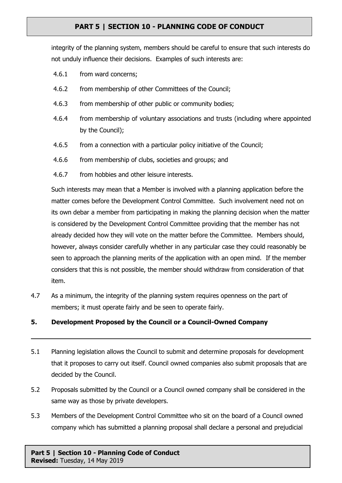integrity of the planning system, members should be careful to ensure that such interests do not unduly influence their decisions. Examples of such interests are:

- 4.6.1 from ward concerns;
- 4.6.2 from membership of other Committees of the Council;
- 4.6.3 from membership of other public or community bodies;
- 4.6.4 from membership of voluntary associations and trusts (including where appointed by the Council);
- 4.6.5 from a connection with a particular policy initiative of the Council;
- 4.6.6 from membership of clubs, societies and groups; and
- 4.6.7 from hobbies and other leisure interests.

Such interests may mean that a Member is involved with a planning application before the matter comes before the Development Control Committee. Such involvement need not on its own debar a member from participating in making the planning decision when the matter is considered by the Development Control Committee providing that the member has not already decided how they will vote on the matter before the Committee. Members should, however, always consider carefully whether in any particular case they could reasonably be seen to approach the planning merits of the application with an open mind. If the member considers that this is not possible, the member should withdraw from consideration of that item.

4.7 As a minimum, the integrity of the planning system requires openness on the part of members; it must operate fairly and be seen to operate fairly.

### **5. Development Proposed by the Council or a Council-Owned Company**

- 5.1 Planning legislation allows the Council to submit and determine proposals for development that it proposes to carry out itself. Council owned companies also submit proposals that are decided by the Council.
- 5.2 Proposals submitted by the Council or a Council owned company shall be considered in the same way as those by private developers.
- 5.3 Members of the Development Control Committee who sit on the board of a Council owned company which has submitted a planning proposal shall declare a personal and prejudicial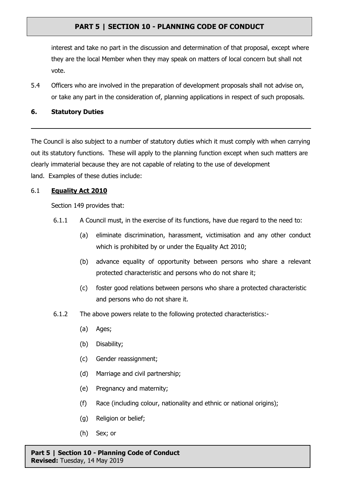interest and take no part in the discussion and determination of that proposal, except where they are the local Member when they may speak on matters of local concern but shall not vote.

5.4 Officers who are involved in the preparation of development proposals shall not advise on, or take any part in the consideration of, planning applications in respect of such proposals.

#### **6. Statutory Duties**

The Council is also subject to a number of statutory duties which it must comply with when carrying out its statutory functions. These will apply to the planning function except when such matters are clearly immaterial because they are not capable of relating to the use of development land. Examples of these duties include:

### 6.1 **Equality Act 2010**

Section 149 provides that:

- 6.1.1 A Council must, in the exercise of its functions, have due regard to the need to:
	- (a) eliminate discrimination, harassment, victimisation and any other conduct which is prohibited by or under the Equality Act 2010;
	- (b) advance equality of opportunity between persons who share a relevant protected characteristic and persons who do not share it;
	- (c) foster good relations between persons who share a protected characteristic and persons who do not share it.
- 6.1.2 The above powers relate to the following protected characteristics:-
	- (a) Ages;
	- (b) Disability;
	- (c) Gender reassignment;
	- (d) Marriage and civil partnership;
	- (e) Pregnancy and maternity;
	- (f) Race (including colour, nationality and ethnic or national origins);
	- (g) Religion or belief;
	- (h) Sex; or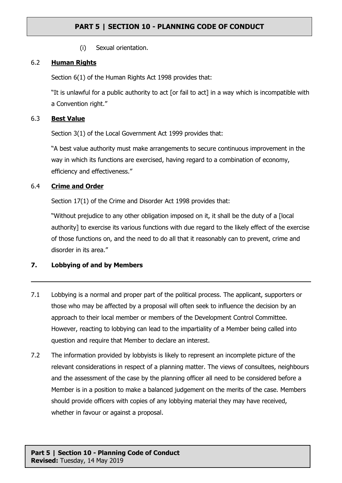(i) Sexual orientation.

### 6.2 **Human Rights**

Section 6(1) of the Human Rights Act 1998 provides that:

"It is unlawful for a public authority to act [or fail to act] in a way which is incompatible with a Convention right."

#### 6.3 **Best Value**

Section 3(1) of the Local Government Act 1999 provides that:

"A best value authority must make arrangements to secure continuous improvement in the way in which its functions are exercised, having regard to a combination of economy, efficiency and effectiveness."

### 6.4 **Crime and Order**

Section 17(1) of the Crime and Disorder Act 1998 provides that:

"Without prejudice to any other obligation imposed on it, it shall be the duty of a [local authority] to exercise its various functions with due regard to the likely effect of the exercise of those functions on, and the need to do all that it reasonably can to prevent, crime and disorder in its area."

### **7. Lobbying of and by Members**

- 7.1 Lobbying is a normal and proper part of the political process. The applicant, supporters or those who may be affected by a proposal will often seek to influence the decision by an approach to their local member or members of the Development Control Committee. However, reacting to lobbying can lead to the impartiality of a Member being called into question and require that Member to declare an interest.
- 7.2 The information provided by lobbyists is likely to represent an incomplete picture of the relevant considerations in respect of a planning matter. The views of consultees, neighbours and the assessment of the case by the planning officer all need to be considered before a Member is in a position to make a balanced judgement on the merits of the case. Members should provide officers with copies of any lobbying material they may have received, whether in favour or against a proposal.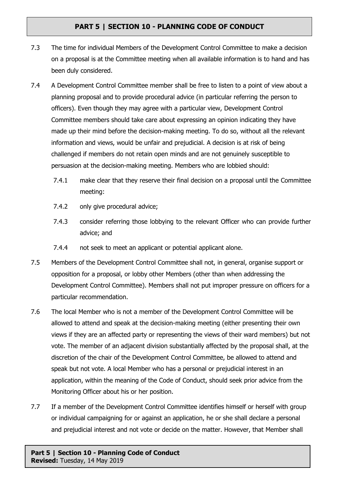- 7.3 The time for individual Members of the Development Control Committee to make a decision on a proposal is at the Committee meeting when all available information is to hand and has been duly considered.
- 7.4 A Development Control Committee member shall be free to listen to a point of view about a planning proposal and to provide procedural advice (in particular referring the person to officers). Even though they may agree with a particular view, Development Control Committee members should take care about expressing an opinion indicating they have made up their mind before the decision-making meeting. To do so, without all the relevant information and views, would be unfair and prejudicial. A decision is at risk of being challenged if members do not retain open minds and are not genuinely susceptible to persuasion at the decision-making meeting. Members who are lobbied should:
	- 7.4.1 make clear that they reserve their final decision on a proposal until the Committee meeting:
	- 7.4.2 only give procedural advice;
	- 7.4.3 consider referring those lobbying to the relevant Officer who can provide further advice; and
	- 7.4.4 not seek to meet an applicant or potential applicant alone.
- 7.5 Members of the Development Control Committee shall not, in general, organise support or opposition for a proposal, or lobby other Members (other than when addressing the Development Control Committee). Members shall not put improper pressure on officers for a particular recommendation.
- 7.6 The local Member who is not a member of the Development Control Committee will be allowed to attend and speak at the decision-making meeting (either presenting their own views if they are an affected party or representing the views of their ward members) but not vote. The member of an adjacent division substantially affected by the proposal shall, at the discretion of the chair of the Development Control Committee, be allowed to attend and speak but not vote. A local Member who has a personal or prejudicial interest in an application, within the meaning of the Code of Conduct, should seek prior advice from the Monitoring Officer about his or her position.
- 7.7 If a member of the Development Control Committee identifies himself or herself with group or individual campaigning for or against an application, he or she shall declare a personal and prejudicial interest and not vote or decide on the matter. However, that Member shall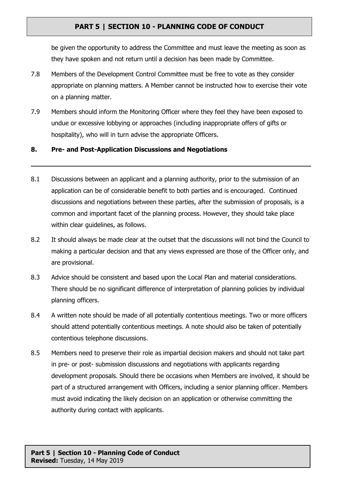be given the opportunity to address the Committee and must leave the meeting as soon as they have spoken and not return until a decision has been made by Committee.

- 7.8 Members of the Development Control Committee must be free to vote as they consider appropriate on planning matters. A Member cannot be instructed how to exercise their vote on a planning matter.
- 7.9 Members should inform the Monitoring Officer where they feel they have been exposed to undue or excessive lobbying or approaches (including inappropriate offers of gifts or hospitality), who will in turn advise the appropriate Officers.

#### **8. Pre- and Post-Application Discussions and Negotiations**

- 8.1 Discussions between an applicant and a planning authority, prior to the submission of an application can be of considerable benefit to both parties and is encouraged. Continued discussions and negotiations between these parties, after the submission of proposals, is a common and important facet of the planning process. However, they should take place within clear quidelines, as follows.
- 8.2 It should always be made clear at the outset that the discussions will not bind the Council to making a particular decision and that any views expressed are those of the Officer only, and are provisional.
- 8.3 Advice should be consistent and based upon the Local Plan and material considerations. There should be no significant difference of interpretation of planning policies by individual planning officers.
- 8.4 A written note should be made of all potentially contentious meetings. Two or more officers should attend potentially contentious meetings. A note should also be taken of potentially contentious telephone discussions.
- 8.5 Members need to preserve their role as impartial decision makers and should not take part in pre- or post- submission discussions and negotiations with applicants regarding development proposals. Should there be occasions when Members are involved, it should be part of a structured arrangement with Officers, including a senior planning officer. Members must avoid indicating the likely decision on an application or otherwise committing the authority during contact with applicants.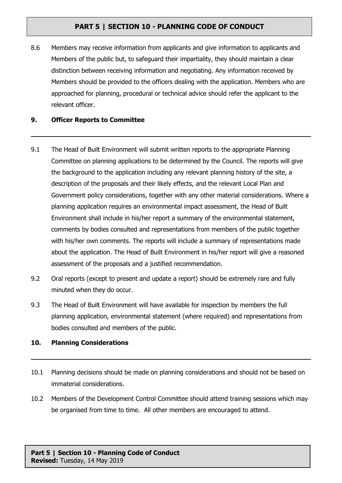8.6 Members may receive information from applicants and give information to applicants and Members of the public but, to safeguard their impartiality, they should maintain a clear distinction between receiving information and negotiating. Any information received by Members should be provided to the officers dealing with the application. Members who are approached for planning, procedural or technical advice should refer the applicant to the relevant officer.

#### **9. Officer Reports to Committee**

- 9.1 The Head of Built Environment will submit written reports to the appropriate Planning Committee on planning applications to be determined by the Council. The reports will give the background to the application including any relevant planning history of the site, a description of the proposals and their likely effects, and the relevant Local Plan and Government policy considerations, together with any other material considerations. Where a planning application requires an environmental impact assessment, the Head of Built Environment shall include in his/her report a summary of the environmental statement, comments by bodies consulted and representations from members of the public together with his/her own comments. The reports will include a summary of representations made about the application. The Head of Built Environment in his/her report will give a reasoned assessment of the proposals and a justified recommendation.
- 9.2 Oral reports (except to present and update a report) should be extremely rare and fully minuted when they do occur.
- 9.3 The Head of Built Environment will have available for inspection by members the full planning application, environmental statement (where required) and representations from bodies consulted and members of the public.

### **10. Planning Considerations**

- 10.1 Planning decisions should be made on planning considerations and should not be based on immaterial considerations.
- 10.2 Members of the Development Control Committee should attend training sessions which may be organised from time to time. All other members are encouraged to attend.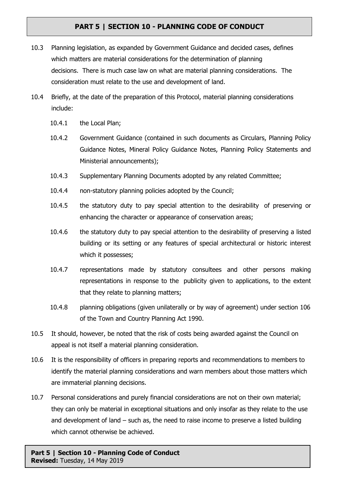- 10.3 Planning legislation, as expanded by Government Guidance and decided cases, defines which matters are material considerations for the determination of planning decisions. There is much case law on what are material planning considerations. The consideration must relate to the use and development of land.
- 10.4 Briefly, at the date of the preparation of this Protocol, material planning considerations include:
	- 10.4.1 the Local Plan;
	- 10.4.2 Government Guidance (contained in such documents as Circulars, Planning Policy Guidance Notes, Mineral Policy Guidance Notes, Planning Policy Statements and Ministerial announcements);
	- 10.4.3 Supplementary Planning Documents adopted by any related Committee;
	- 10.4.4 non-statutory planning policies adopted by the Council;
	- 10.4.5 the statutory duty to pay special attention to the desirability of preserving or enhancing the character or appearance of conservation areas;
	- 10.4.6 the statutory duty to pay special attention to the desirability of preserving a listed building or its setting or any features of special architectural or historic interest which it possesses:
	- 10.4.7 representations made by statutory consultees and other persons making representations in response to the publicity given to applications, to the extent that they relate to planning matters;
	- 10.4.8 planning obligations (given unilaterally or by way of agreement) under section 106 of the Town and Country Planning Act 1990.
- 10.5 It should, however, be noted that the risk of costs being awarded against the Council on appeal is not itself a material planning consideration.
- 10.6 It is the responsibility of officers in preparing reports and recommendations to members to identify the material planning considerations and warn members about those matters which are immaterial planning decisions.
- 10.7 Personal considerations and purely financial considerations are not on their own material; they can only be material in exceptional situations and only insofar as they relate to the use and development of land – such as, the need to raise income to preserve a listed building which cannot otherwise be achieved.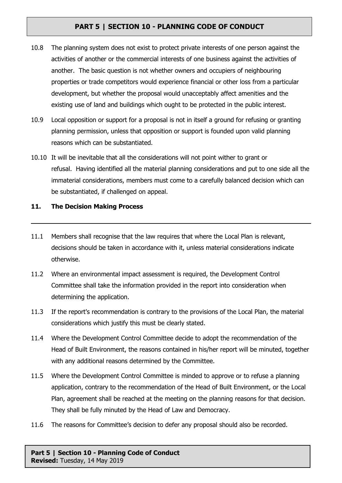- 10.8 The planning system does not exist to protect private interests of one person against the activities of another or the commercial interests of one business against the activities of another. The basic question is not whether owners and occupiers of neighbouring properties or trade competitors would experience financial or other loss from a particular development, but whether the proposal would unacceptably affect amenities and the existing use of land and buildings which ought to be protected in the public interest.
- 10.9 Local opposition or support for a proposal is not in itself a ground for refusing or granting planning permission, unless that opposition or support is founded upon valid planning reasons which can be substantiated.
- 10.10 It will be inevitable that all the considerations will not point wither to grant or refusal. Having identified all the material planning considerations and put to one side all the immaterial considerations, members must come to a carefully balanced decision which can be substantiated, if challenged on appeal.

#### **11. The Decision Making Process**

- 11.1 Members shall recognise that the law requires that where the Local Plan is relevant, decisions should be taken in accordance with it, unless material considerations indicate otherwise.
- 11.2 Where an environmental impact assessment is required, the Development Control Committee shall take the information provided in the report into consideration when determining the application.
- 11.3 If the report's recommendation is contrary to the provisions of the Local Plan, the material considerations which justify this must be clearly stated.
- 11.4 Where the Development Control Committee decide to adopt the recommendation of the Head of Built Environment, the reasons contained in his/her report will be minuted, together with any additional reasons determined by the Committee.
- 11.5 Where the Development Control Committee is minded to approve or to refuse a planning application, contrary to the recommendation of the Head of Built Environment, or the Local Plan, agreement shall be reached at the meeting on the planning reasons for that decision. They shall be fully minuted by the Head of Law and Democracy.
- 11.6 The reasons for Committee's decision to defer any proposal should also be recorded.

#### **Part 5 | Section 10 - Planning Code of Conduct Revised:** Tuesday, 14 May 2019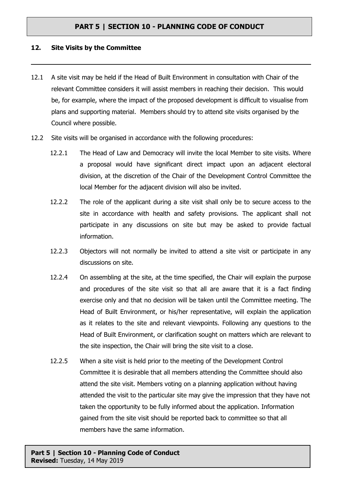#### **12. Site Visits by the Committee**

- 12.1 A site visit may be held if the Head of Built Environment in consultation with Chair of the relevant Committee considers it will assist members in reaching their decision. This would be, for example, where the impact of the proposed development is difficult to visualise from plans and supporting material. Members should try to attend site visits organised by the Council where possible.
- 12.2 Site visits will be organised in accordance with the following procedures:
	- 12.2.1 The Head of Law and Democracy will invite the local Member to site visits. Where a proposal would have significant direct impact upon an adjacent electoral division, at the discretion of the Chair of the Development Control Committee the local Member for the adjacent division will also be invited.
	- 12.2.2 The role of the applicant during a site visit shall only be to secure access to the site in accordance with health and safety provisions. The applicant shall not participate in any discussions on site but may be asked to provide factual information.
	- 12.2.3 Objectors will not normally be invited to attend a site visit or participate in any discussions on site.
	- 12.2.4 On assembling at the site, at the time specified, the Chair will explain the purpose and procedures of the site visit so that all are aware that it is a fact finding exercise only and that no decision will be taken until the Committee meeting. The Head of Built Environment, or his/her representative, will explain the application as it relates to the site and relevant viewpoints. Following any questions to the Head of Built Environment, or clarification sought on matters which are relevant to the site inspection, the Chair will bring the site visit to a close.
	- 12.2.5 When a site visit is held prior to the meeting of the Development Control Committee it is desirable that all members attending the Committee should also attend the site visit. Members voting on a planning application without having attended the visit to the particular site may give the impression that they have not taken the opportunity to be fully informed about the application. Information gained from the site visit should be reported back to committee so that all members have the same information.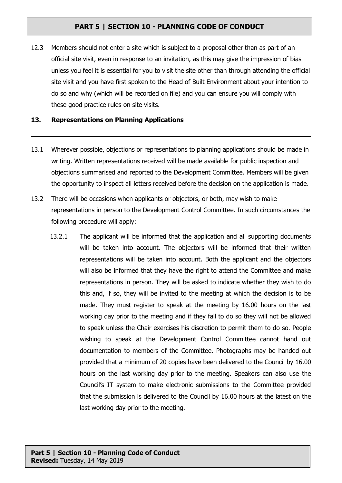12.3 Members should not enter a site which is subject to a proposal other than as part of an official site visit, even in response to an invitation, as this may give the impression of bias unless you feel it is essential for you to visit the site other than through attending the official site visit and you have first spoken to the Head of Built Environment about your intention to do so and why (which will be recorded on file) and you can ensure you will comply with these good practice rules on site visits.

#### **13. Representations on Planning Applications**

- 13.1 Wherever possible, objections or representations to planning applications should be made in writing. Written representations received will be made available for public inspection and objections summarised and reported to the Development Committee. Members will be given the opportunity to inspect all letters received before the decision on the application is made.
- 13.2 There will be occasions when applicants or objectors, or both, may wish to make representations in person to the Development Control Committee. In such circumstances the following procedure will apply:
	- 13.2.1 The applicant will be informed that the application and all supporting documents will be taken into account. The objectors will be informed that their written representations will be taken into account. Both the applicant and the objectors will also be informed that they have the right to attend the Committee and make representations in person. They will be asked to indicate whether they wish to do this and, if so, they will be invited to the meeting at which the decision is to be made. They must register to speak at the meeting by 16.00 hours on the last working day prior to the meeting and if they fail to do so they will not be allowed to speak unless the Chair exercises his discretion to permit them to do so. People wishing to speak at the Development Control Committee cannot hand out documentation to members of the Committee. Photographs may be handed out provided that a minimum of 20 copies have been delivered to the Council by 16.00 hours on the last working day prior to the meeting. Speakers can also use the Council's IT system to make electronic submissions to the Committee provided that the submission is delivered to the Council by 16.00 hours at the latest on the last working day prior to the meeting.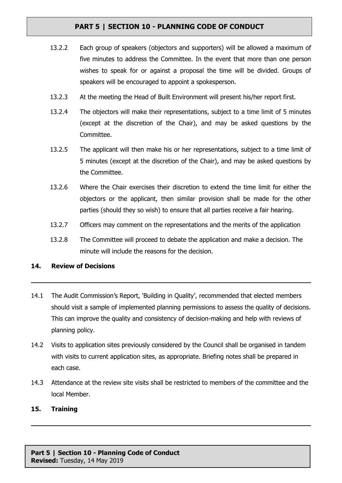- 13.2.2 Each group of speakers (objectors and supporters) will be allowed a maximum of five minutes to address the Committee. In the event that more than one person wishes to speak for or against a proposal the time will be divided. Groups of speakers will be encouraged to appoint a spokesperson.
- 13.2.3 At the meeting the Head of Built Environment will present his/her report first.
- 13.2.4 The objectors will make their representations, subject to a time limit of 5 minutes (except at the discretion of the Chair), and may be asked questions by the Committee.
- 13.2.5 The applicant will then make his or her representations, subject to a time limit of 5 minutes (except at the discretion of the Chair), and may be asked questions by the Committee.
- 13.2.6 Where the Chair exercises their discretion to extend the time limit for either the objectors or the applicant, then similar provision shall be made for the other parties (should they so wish) to ensure that all parties receive a fair hearing.
- 13.2.7 Officers may comment on the representations and the merits of the application
- 13.2.8 The Committee will proceed to debate the application and make a decision. The minute will include the reasons for the decision.

### **14. Review of Decisions**

- 14.1 The Audit Commission's Report, 'Building in Quality', recommended that elected members should visit a sample of implemented planning permissions to assess the quality of decisions. This can improve the quality and consistency of decision-making and help with reviews of planning policy.
- 14.2 Visits to application sites previously considered by the Council shall be organised in tandem with visits to current application sites, as appropriate. Briefing notes shall be prepared in each case.
- 14.3 Attendance at the review site visits shall be restricted to members of the committee and the local Member.

### **15. Training**